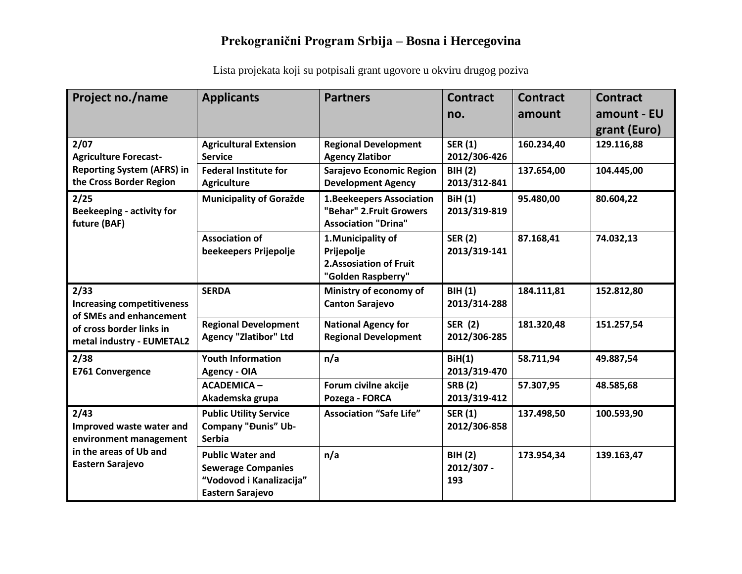| Project no./name                                                                                                              | <b>Applicants</b>                                                                                    | <b>Partners</b>                                                                           | <b>Contract</b><br>no.              | <b>Contract</b><br>amount | <b>Contract</b><br>amount - EU<br>grant (Euro) |
|-------------------------------------------------------------------------------------------------------------------------------|------------------------------------------------------------------------------------------------------|-------------------------------------------------------------------------------------------|-------------------------------------|---------------------------|------------------------------------------------|
| 2/07<br><b>Agriculture Forecast-</b><br><b>Reporting System (AFRS) in</b><br>the Cross Border Region                          | <b>Agricultural Extension</b><br><b>Service</b>                                                      | <b>Regional Development</b><br><b>Agency Zlatibor</b>                                     | <b>SER (1)</b><br>2012/306-426      | 160.234,40                | 129.116,88                                     |
|                                                                                                                               | <b>Federal Institute for</b><br><b>Agriculture</b>                                                   | Sarajevo Economic Region<br><b>Development Agency</b>                                     | <b>BIH(2)</b><br>2013/312-841       | 137.654,00                | 104.445,00                                     |
| 2/25<br><b>Beekeeping - activity for</b><br>future (BAF)                                                                      | <b>Municipality of Goražde</b>                                                                       | <b>1.Beekeepers Association</b><br>"Behar" 2. Fruit Growers<br><b>Association "Drina"</b> | <b>BiH</b> (1)<br>2013/319-819      | 95.480,00                 | 80.604,22                                      |
|                                                                                                                               | <b>Association of</b><br>beekeepers Prijepolje                                                       | 1. Municipality of<br>Prijepolje<br><b>2.Assosiation of Fruit</b><br>"Golden Raspberry"   | <b>SER (2)</b><br>2013/319-141      | 87.168,41                 | 74.032,13                                      |
| 2/33<br><b>Increasing competitiveness</b><br>of SMEs and enhancement<br>of cross border links in<br>metal industry - EUMETAL2 | <b>SERDA</b>                                                                                         | Ministry of economy of<br><b>Canton Sarajevo</b>                                          | <b>BIH(1)</b><br>2013/314-288       | 184.111,81                | 152.812,80                                     |
|                                                                                                                               | <b>Regional Development</b><br><b>Agency "Zlatibor" Ltd</b>                                          | <b>National Agency for</b><br><b>Regional Development</b>                                 | <b>SER (2)</b><br>2012/306-285      | 181.320,48                | 151.257,54                                     |
| 2/38<br><b>E761 Convergence</b>                                                                                               | <b>Youth Information</b><br><b>Agency - OIA</b>                                                      | n/a                                                                                       | BiH(1)<br>2013/319-470              | 58.711,94                 | 49.887,54                                      |
|                                                                                                                               | <b>ACADEMICA-</b><br>Akademska grupa                                                                 | Forum civilne akcije<br>Pozega - FORCA                                                    | <b>SRB</b> (2)<br>2013/319-412      | 57.307,95                 | 48.585,68                                      |
| 2/43<br>Improved waste water and<br>environment management<br>in the areas of Ub and<br>Eastern Sarajevo                      | <b>Public Utility Service</b><br><b>Company "Đunis" Ub-</b><br><b>Serbia</b>                         | <b>Association "Safe Life"</b>                                                            | <b>SER (1)</b><br>2012/306-858      | 137.498,50                | 100.593,90                                     |
|                                                                                                                               | <b>Public Water and</b><br><b>Sewerage Companies</b><br>"Vodovod i Kanalizacija"<br>Eastern Sarajevo | n/a                                                                                       | <b>BIH (2)</b><br>2012/307 -<br>193 | 173.954,34                | 139.163,47                                     |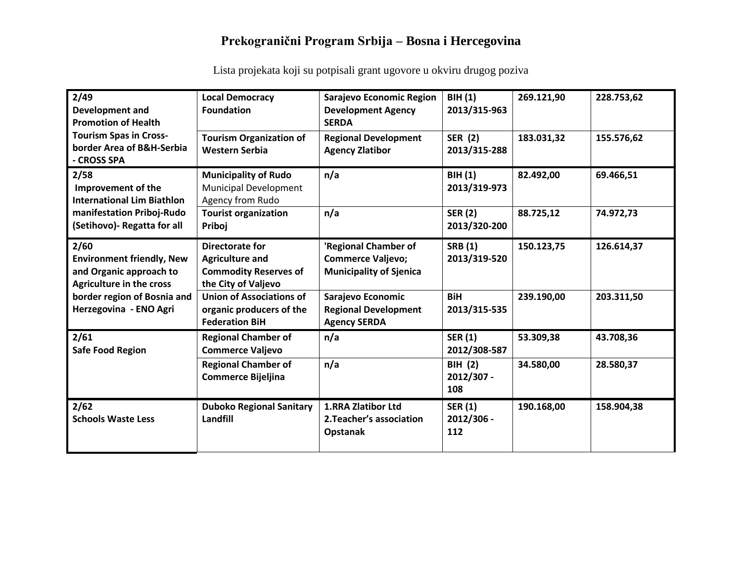| 2/49<br><b>Development and</b><br><b>Promotion of Health</b><br><b>Tourism Spas in Cross-</b><br>border Area of B&H-Serbia<br>- CROSS SPA                       | <b>Local Democracy</b><br><b>Foundation</b>                                                      | Sarajevo Economic Region<br><b>Development Agency</b><br><b>SERDA</b>              | <b>BIH (1)</b><br>2013/315-963      | 269.121,90 | 228.753,62 |
|-----------------------------------------------------------------------------------------------------------------------------------------------------------------|--------------------------------------------------------------------------------------------------|------------------------------------------------------------------------------------|-------------------------------------|------------|------------|
|                                                                                                                                                                 | <b>Tourism Organization of</b><br><b>Western Serbia</b>                                          | <b>Regional Development</b><br><b>Agency Zlatibor</b>                              | <b>SER (2)</b><br>2013/315-288      | 183.031,32 | 155.576,62 |
| 2/58<br>Improvement of the<br><b>International Lim Biathlon</b><br>manifestation Priboj-Rudo<br>(Setihovo) - Regatta for all                                    | <b>Municipality of Rudo</b><br>Municipal Development<br>Agency from Rudo                         | n/a                                                                                | <b>BIH (1)</b><br>2013/319-973      | 82.492,00  | 69.466,51  |
|                                                                                                                                                                 | <b>Tourist organization</b><br>Priboj                                                            | n/a                                                                                | <b>SER (2)</b><br>2013/320-200      | 88.725,12  | 74.972,73  |
| 2/60<br><b>Environment friendly, New</b><br>and Organic approach to<br><b>Agriculture in the cross</b><br>border region of Bosnia and<br>Herzegovina - ENO Agri | Directorate for<br><b>Agriculture and</b><br><b>Commodity Reserves of</b><br>the City of Valjevo | 'Regional Chamber of<br><b>Commerce Valjevo;</b><br><b>Municipality of Sjenica</b> | <b>SRB</b> (1)<br>2013/319-520      | 150.123,75 | 126.614,37 |
|                                                                                                                                                                 | <b>Union of Associations of</b><br>organic producers of the<br><b>Federation BiH</b>             | Sarajevo Economic<br><b>Regional Development</b><br><b>Agency SERDA</b>            | <b>BiH</b><br>2013/315-535          | 239.190,00 | 203.311,50 |
| 2/61<br><b>Safe Food Region</b>                                                                                                                                 | <b>Regional Chamber of</b><br><b>Commerce Valjevo</b>                                            | n/a                                                                                | <b>SER (1)</b><br>2012/308-587      | 53.309,38  | 43.708,36  |
|                                                                                                                                                                 | <b>Regional Chamber of</b><br><b>Commerce Bijeljina</b>                                          | n/a                                                                                | <b>BIH (2)</b><br>2012/307 -<br>108 | 34.580,00  | 28.580,37  |
| 2/62<br><b>Schools Waste Less</b>                                                                                                                               | <b>Duboko Regional Sanitary</b><br>Landfill                                                      | 1.RRA Zlatibor Ltd<br>2. Teacher's association<br>Opstanak                         | <b>SER (1)</b><br>2012/306 -<br>112 | 190.168,00 | 158.904,38 |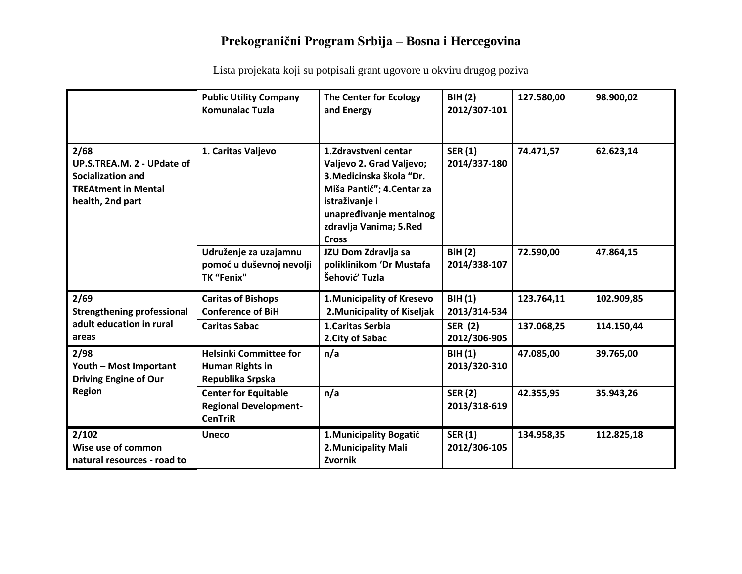|                                                                                                                  | <b>Public Utility Company</b><br><b>Komunalac Tuzla</b>                       | <b>The Center for Ecology</b><br>and Energy                                                                                                                                                        | <b>BIH (2)</b><br>2012/307-101 | 127.580,00 | 98.900,02  |
|------------------------------------------------------------------------------------------------------------------|-------------------------------------------------------------------------------|----------------------------------------------------------------------------------------------------------------------------------------------------------------------------------------------------|--------------------------------|------------|------------|
| 2/68<br>UP.S.TREA.M. 2 - UPdate of<br><b>Socialization and</b><br><b>TREAtment in Mental</b><br>health, 2nd part | 1. Caritas Valjevo                                                            | 1. Zdravstveni centar<br>Valjevo 2. Grad Valjevo;<br>3. Medicinska škola "Dr.<br>Miša Pantić"; 4. Centar za<br>istraživanje i<br>unapređivanje mentalnog<br>zdravlja Vanima; 5.Red<br><b>Cross</b> | <b>SER (1)</b><br>2014/337-180 | 74.471,57  | 62.623,14  |
|                                                                                                                  | Udruženje za uzajamnu<br>pomoć u duševnoj nevolji<br>TK "Fenix"               | JZU Dom Zdravlja sa<br>poliklinikom 'Dr Mustafa<br>Šehović' Tuzla                                                                                                                                  | <b>BiH(2)</b><br>2014/338-107  | 72.590,00  | 47.864,15  |
| 2/69<br><b>Strengthening professional</b><br>adult education in rural<br>areas                                   | <b>Caritas of Bishops</b><br><b>Conference of BiH</b>                         | 1. Municipality of Kresevo<br>2. Municipality of Kiseljak                                                                                                                                          | <b>BIH(1)</b><br>2013/314-534  | 123.764,11 | 102.909,85 |
|                                                                                                                  | <b>Caritas Sabac</b>                                                          | 1. Caritas Serbia<br>2. City of Sabac                                                                                                                                                              | <b>SER (2)</b><br>2012/306-905 | 137.068,25 | 114.150,44 |
| 2/98<br>Youth - Most Important<br><b>Driving Engine of Our</b><br><b>Region</b>                                  | <b>Helsinki Committee for</b><br><b>Human Rights in</b><br>Republika Srpska   | n/a                                                                                                                                                                                                | <b>BIH (1)</b><br>2013/320-310 | 47.085,00  | 39.765,00  |
|                                                                                                                  | <b>Center for Equitable</b><br><b>Regional Development-</b><br><b>CenTriR</b> | n/a                                                                                                                                                                                                | <b>SER (2)</b><br>2013/318-619 | 42.355,95  | 35.943,26  |
| 2/102<br>Wise use of common<br>natural resources - road to                                                       | <b>Uneco</b>                                                                  | 1. Municipality Bogatić<br>2. Municipality Mali<br>Zvornik                                                                                                                                         | <b>SER (1)</b><br>2012/306-105 | 134.958,35 | 112.825,18 |